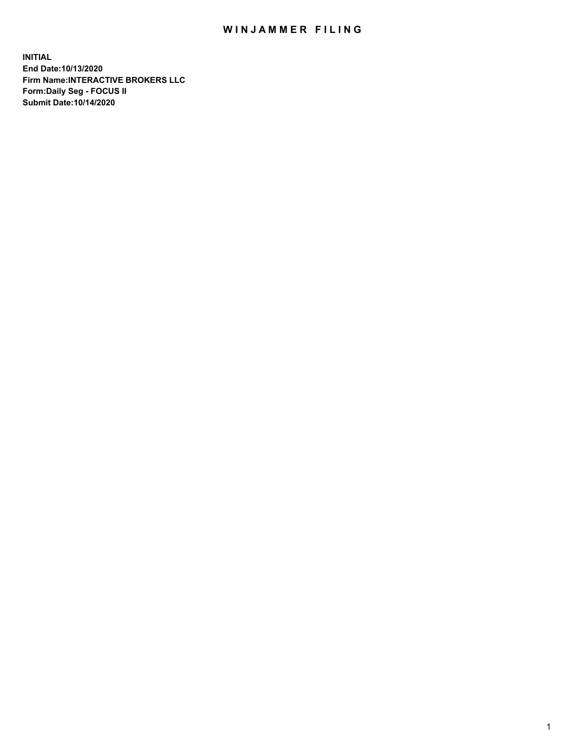## WIN JAMMER FILING

**INITIAL End Date:10/13/2020 Firm Name:INTERACTIVE BROKERS LLC Form:Daily Seg - FOCUS II Submit Date:10/14/2020**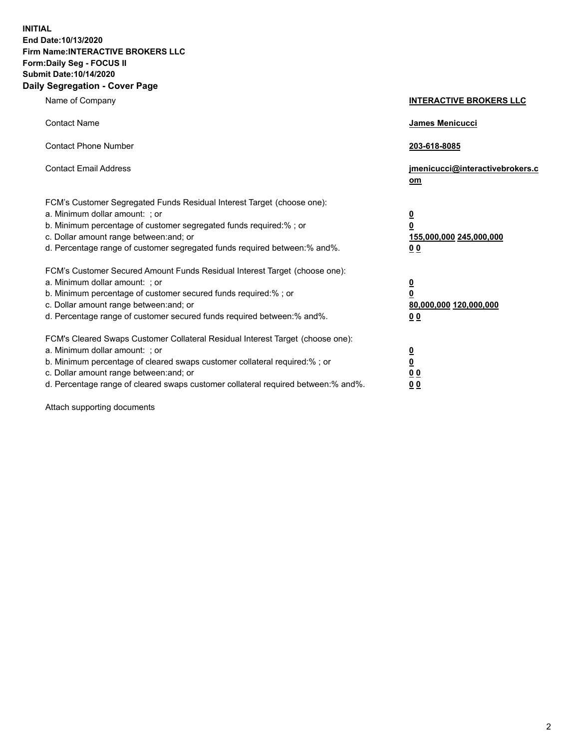**INITIAL End Date:10/13/2020 Firm Name:INTERACTIVE BROKERS LLC Form:Daily Seg - FOCUS II Submit Date:10/14/2020 Daily Segregation - Cover Page**

| Name of Company                                                                                                                                                                                                                                                                                                                | <b>INTERACTIVE BROKERS LLC</b>                                                  |
|--------------------------------------------------------------------------------------------------------------------------------------------------------------------------------------------------------------------------------------------------------------------------------------------------------------------------------|---------------------------------------------------------------------------------|
| <b>Contact Name</b>                                                                                                                                                                                                                                                                                                            | James Menicucci                                                                 |
| <b>Contact Phone Number</b>                                                                                                                                                                                                                                                                                                    | 203-618-8085                                                                    |
| <b>Contact Email Address</b>                                                                                                                                                                                                                                                                                                   | jmenicucci@interactivebrokers.c<br>om                                           |
| FCM's Customer Segregated Funds Residual Interest Target (choose one):<br>a. Minimum dollar amount: ; or<br>b. Minimum percentage of customer segregated funds required:%; or<br>c. Dollar amount range between: and; or<br>d. Percentage range of customer segregated funds required between:% and%.                          | <u>0</u><br>$\overline{\mathbf{0}}$<br>155,000,000 245,000,000<br><u>00</u>     |
| FCM's Customer Secured Amount Funds Residual Interest Target (choose one):<br>a. Minimum dollar amount: ; or<br>b. Minimum percentage of customer secured funds required:% ; or<br>c. Dollar amount range between: and; or<br>d. Percentage range of customer secured funds required between:% and%.                           | <u>0</u><br>$\overline{\mathbf{0}}$<br>80,000,000 120,000,000<br>0 <sub>0</sub> |
| FCM's Cleared Swaps Customer Collateral Residual Interest Target (choose one):<br>a. Minimum dollar amount: ; or<br>b. Minimum percentage of cleared swaps customer collateral required:% ; or<br>c. Dollar amount range between: and; or<br>d. Percentage range of cleared swaps customer collateral required between:% and%. | <u>0</u><br>$\underline{\mathbf{0}}$<br>0 <sub>0</sub><br>0 <sub>0</sub>        |

Attach supporting documents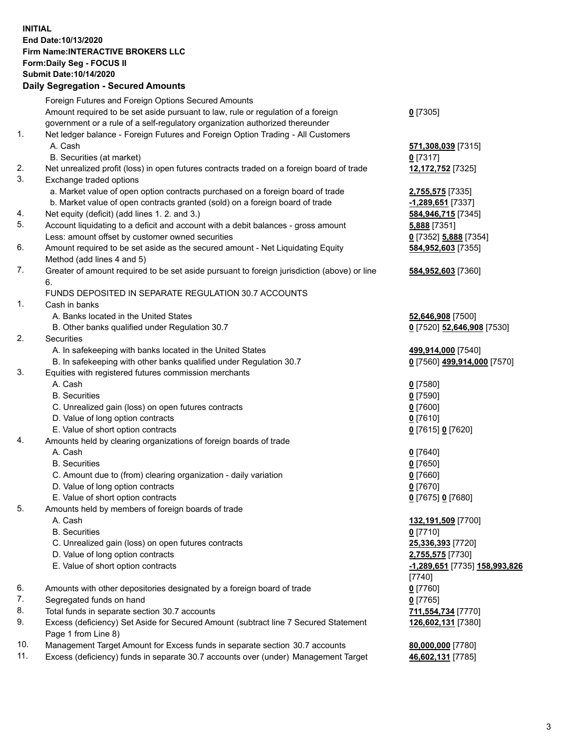## **INITIAL End Date:10/13/2020 Firm Name:INTERACTIVE BROKERS LLC Form:Daily Seg - FOCUS II Submit Date:10/14/2020 Daily Segregation - Secured Amounts**

|     | Daily Segregation - Secureu Amounts                                                                        |                                      |
|-----|------------------------------------------------------------------------------------------------------------|--------------------------------------|
|     | Foreign Futures and Foreign Options Secured Amounts                                                        |                                      |
|     | Amount required to be set aside pursuant to law, rule or regulation of a foreign                           | $0$ [7305]                           |
|     | government or a rule of a self-regulatory organization authorized thereunder                               |                                      |
| 1.  | Net ledger balance - Foreign Futures and Foreign Option Trading - All Customers                            |                                      |
|     | A. Cash                                                                                                    | 571,308,039 [7315]                   |
|     | B. Securities (at market)                                                                                  | $0$ [7317]                           |
| 2.  | Net unrealized profit (loss) in open futures contracts traded on a foreign board of trade                  | 12,172,752 [7325]                    |
| 3.  | Exchange traded options                                                                                    |                                      |
|     | a. Market value of open option contracts purchased on a foreign board of trade                             | 2,755,575 [7335]                     |
|     | b. Market value of open contracts granted (sold) on a foreign board of trade                               | -1,289,651 [7337]                    |
| 4.  | Net equity (deficit) (add lines 1. 2. and 3.)                                                              | 584,946,715 [7345]                   |
| 5.  | Account liquidating to a deficit and account with a debit balances - gross amount                          | 5,888 [7351]                         |
|     | Less: amount offset by customer owned securities                                                           | 0 [7352] 5,888 [7354]                |
| 6.  | Amount required to be set aside as the secured amount - Net Liquidating Equity                             | 584,952,603 [7355]                   |
|     | Method (add lines 4 and 5)                                                                                 |                                      |
| 7.  | Greater of amount required to be set aside pursuant to foreign jurisdiction (above) or line                | 584,952,603 [7360]                   |
|     | 6.                                                                                                         |                                      |
|     | FUNDS DEPOSITED IN SEPARATE REGULATION 30.7 ACCOUNTS                                                       |                                      |
| 1.  | Cash in banks                                                                                              |                                      |
|     | A. Banks located in the United States                                                                      | 52,646,908 [7500]                    |
|     | B. Other banks qualified under Regulation 30.7                                                             | 0 [7520] 52,646,908 [7530]           |
| 2.  | <b>Securities</b>                                                                                          |                                      |
|     | A. In safekeeping with banks located in the United States                                                  | 499,914,000 [7540]                   |
|     | B. In safekeeping with other banks qualified under Regulation 30.7                                         | 0 [7560] 499,914,000 [7570]          |
| 3.  | Equities with registered futures commission merchants                                                      |                                      |
|     | A. Cash                                                                                                    | $0$ [7580]                           |
|     | <b>B.</b> Securities                                                                                       | $0$ [7590]                           |
|     | C. Unrealized gain (loss) on open futures contracts                                                        | $0$ [7600]                           |
|     | D. Value of long option contracts                                                                          | $0$ [7610]                           |
|     | E. Value of short option contracts                                                                         | 0 [7615] 0 [7620]                    |
| 4.  | Amounts held by clearing organizations of foreign boards of trade                                          |                                      |
|     | A. Cash                                                                                                    | $0$ [7640]                           |
|     | <b>B.</b> Securities                                                                                       | $0$ [7650]                           |
|     | C. Amount due to (from) clearing organization - daily variation                                            | $0$ [7660]                           |
|     | D. Value of long option contracts                                                                          | $0$ [7670]                           |
|     | E. Value of short option contracts                                                                         | 0 [7675] 0 [7680]                    |
| 5.  | Amounts held by members of foreign boards of trade                                                         |                                      |
|     | A. Cash                                                                                                    | 132,191,509 [7700]                   |
|     | <b>B.</b> Securities                                                                                       | $0$ [7710]                           |
|     | C. Unrealized gain (loss) on open futures contracts                                                        | 25,336,393 [7720]                    |
|     | D. Value of long option contracts                                                                          | 2,755,575 [7730]                     |
|     | E. Value of short option contracts                                                                         | <u>-1,289,651</u> [7735] 158,993,826 |
|     |                                                                                                            | $[7740]$                             |
| 6.  | Amounts with other depositories designated by a foreign board of trade                                     | $0$ [7760]                           |
| 7.  | Segregated funds on hand                                                                                   | $0$ [7765]                           |
| 8.  | Total funds in separate section 30.7 accounts                                                              | 711,554,734 [7770]                   |
| 9.  | Excess (deficiency) Set Aside for Secured Amount (subtract line 7 Secured Statement<br>Page 1 from Line 8) | 126,602,131 [7380]                   |
| 10. | Management Target Amount for Excess funds in separate section 30.7 accounts                                | 80,000,000 [7780]                    |
| 11. | Excess (deficiency) funds in separate 30.7 accounts over (under) Management Target                         | 46,602,131 [7785]                    |
|     |                                                                                                            |                                      |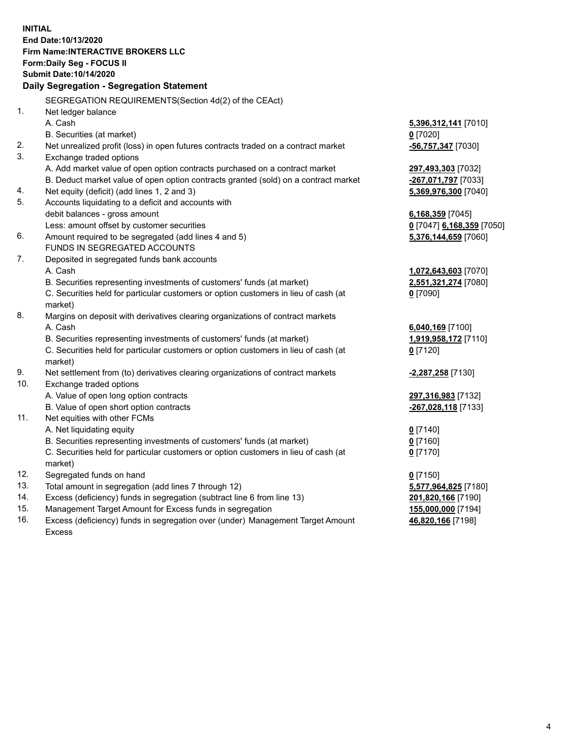**INITIAL End Date:10/13/2020 Firm Name:INTERACTIVE BROKERS LLC Form:Daily Seg - FOCUS II Submit Date:10/14/2020 Daily Segregation - Segregation Statement** SEGREGATION REQUIREMENTS(Section 4d(2) of the CEAct) 1. Net ledger balance A. Cash **5,396,312,141** [7010] B. Securities (at market) **0** [7020] 2. Net unrealized profit (loss) in open futures contracts traded on a contract market **-56,757,347** [7030] 3. Exchange traded options A. Add market value of open option contracts purchased on a contract market **297,493,303** [7032] B. Deduct market value of open option contracts granted (sold) on a contract market **-267,071,797** [7033] 4. Net equity (deficit) (add lines 1, 2 and 3) **5,369,976,300** [7040] 5. Accounts liquidating to a deficit and accounts with debit balances - gross amount **6,168,359** [7045] Less: amount offset by customer securities **0** [7047] **6,168,359** [7050] 6. Amount required to be segregated (add lines 4 and 5) **5,376,144,659** [7060] FUNDS IN SEGREGATED ACCOUNTS 7. Deposited in segregated funds bank accounts A. Cash **1,072,643,603** [7070] B. Securities representing investments of customers' funds (at market) **2,551,321,274** [7080] C. Securities held for particular customers or option customers in lieu of cash (at market) **0** [7090] 8. Margins on deposit with derivatives clearing organizations of contract markets A. Cash **6,040,169** [7100] B. Securities representing investments of customers' funds (at market) **1,919,958,172** [7110] C. Securities held for particular customers or option customers in lieu of cash (at market) **0** [7120] 9. Net settlement from (to) derivatives clearing organizations of contract markets **-2,287,258** [7130] 10. Exchange traded options A. Value of open long option contracts **297,316,983** [7132] B. Value of open short option contracts **-267,028,118** [7133] 11. Net equities with other FCMs A. Net liquidating equity **0** [7140] B. Securities representing investments of customers' funds (at market) **0** [7160] C. Securities held for particular customers or option customers in lieu of cash (at market) **0** [7170] 12. Segregated funds on hand **0** [7150] 13. Total amount in segregation (add lines 7 through 12) **5,577,964,825** [7180] 14. Excess (deficiency) funds in segregation (subtract line 6 from line 13) **201,820,166** [7190] 15. Management Target Amount for Excess funds in segregation **155,000,000** [7194] 16. Excess (deficiency) funds in segregation over (under) Management Target Amount **46,820,166** [7198]

Excess